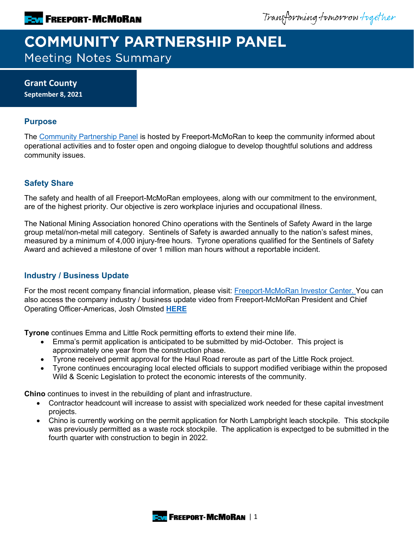Transforming tomorrow together

# **COMMUNITY PARTNERSHIP PANEL Meeting Notes Summary**

**Grant County September 8, 2021**

#### **Purpose**

The [Community Partnership Panel](https://www.freeportinmycommunity.com/stakeholders/stakeholder-engagement-) is hosted by Freeport-McMoRan to keep the community informed about operational activities and to foster open and ongoing dialogue to develop thoughtful solutions and address community issues.

## **Safety Share**

The safety and health of all Freeport-McMoRan employees, along with our commitment to the environment, are of the highest priority. Our objective is zero workplace injuries and occupational illness.

The National Mining Association honored Chino operations with the Sentinels of Safety Award in the large group metal/non-metal mill category. Sentinels of Safety is awarded annually to the nation's safest mines, measured by a minimum of 4,000 injury-free hours. Tyrone operations qualified for the Sentinels of Safety Award and achieved a milestone of over 1 million man hours without a reportable incident.

## **Industry / Business Update**

For the most recent company financial information, please visit: **Freeport-McMoRan Investor Center.** You can also access the company industry / business update video from Freeport-McMoRan President and Chief Operating Officer-Americas, Josh Olmsted **[HERE](https://fmi.hosted.panopto.com/Panopto/Pages/Viewer.aspx?id=1db79e82-512e-46a0-87fa-ad7b01320113)**

**Tyrone** continues Emma and Little Rock permitting efforts to extend their mine life.

- Emma's permit application is anticipated to be submitted by mid-October. This project is approximately one year from the construction phase.
- Tyrone received permit approval for the Haul Road reroute as part of the Little Rock project.
- Tyrone continues encouraging local elected officials to support modified veribiage within the proposed Wild & Scenic Legislation to protect the economic interests of the community.

**Chino** continues to invest in the rebuilding of plant and infrastructure.

- Contractor headcount will increase to assist with specialized work needed for these capital investment projects.
- Chino is currently working on the permit application for North Lampbright leach stockpile. This stockpile was previously permitted as a waste rock stockpile. The application is expectged to be submitted in the fourth quarter with construction to begin in 2022.